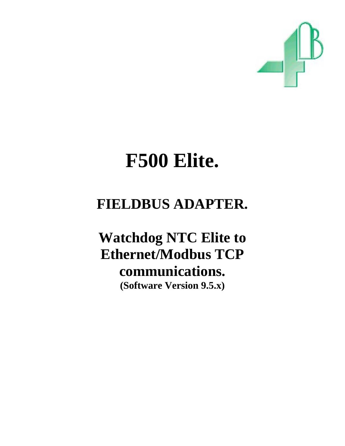

# **F500 Elite.**

# **FIELDBUS ADAPTER.**

**Watchdog NTC Elite to Ethernet/Modbus TCP communications. (Software Version 9.5.x)**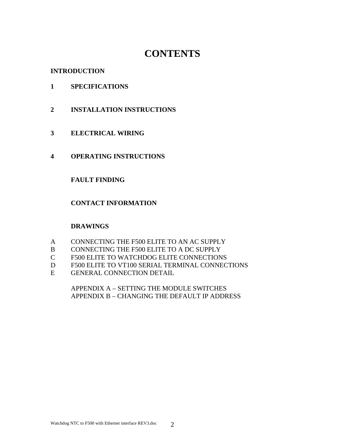## **CONTENTS**

#### **INTRODUCTION**

- **1 SPECIFICATIONS**
- **2 INSTALLATION INSTRUCTIONS**
- **3 ELECTRICAL WIRING**
- **4 OPERATING INSTRUCTIONS**

#### **FAULT FINDING**

#### **CONTACT INFORMATION**

#### **DRAWINGS**

- A CONNECTING THE F500 ELITE TO AN AC SUPPLY
- B CONNECTING THE F500 ELITE TO A DC SUPPLY
- C F500 ELITE TO WATCHDOG ELITE CONNECTIONS
- D F500 ELITE TO VT100 SERIAL TERMINAL CONNECTIONS
- E GENERAL CONNECTION DETAIL

 APPENDIX A – SETTING THE MODULE SWITCHES APPENDIX B – CHANGING THE DEFAULT IP ADDRESS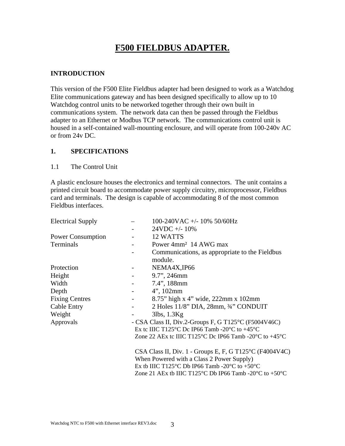### **F500 FIELDBUS ADAPTER.**

#### **INTRODUCTION**

This version of the F500 Elite Fieldbus adapter had been designed to work as a Watchdog Elite communications gateway and has been designed specifically to allow up to 10 Watchdog control units to be networked together through their own built in communications system. The network data can then be passed through the Fieldbus adapter to an Ethernet or Modbus TCP network. The communications control unit is housed in a self-contained wall-mounting enclosure, and will operate from 100-240v AC or from 24v DC.

#### **1. SPECIFICATIONS**

1.1 The Control Unit

A plastic enclosure houses the electronics and terminal connectors. The unit contains a printed circuit board to accommodate power supply circuitry, microprocessor, Fieldbus card and terminals. The design is capable of accommodating 8 of the most common Fieldbus interfaces.

| <b>Electrical Supply</b> |                                                   | 100-240VAC +/- 10% 50/60Hz                                                                                                                                                                                                                                |
|--------------------------|---------------------------------------------------|-----------------------------------------------------------------------------------------------------------------------------------------------------------------------------------------------------------------------------------------------------------|
|                          |                                                   | $24VDC + -10\%$                                                                                                                                                                                                                                           |
| <b>Power Consumption</b> | $\sim 100$                                        | 12 WATTS                                                                                                                                                                                                                                                  |
| Terminals                |                                                   | Power 4mm <sup>2</sup> 14 AWG max                                                                                                                                                                                                                         |
|                          |                                                   | Communications, as appropriate to the Fieldbus                                                                                                                                                                                                            |
|                          |                                                   | module.                                                                                                                                                                                                                                                   |
| Protection               | $\sim$ 100 $\mu$                                  | NEMA4X, IP66                                                                                                                                                                                                                                              |
| Height                   | $\frac{1}{2}$ and $\frac{1}{2}$ and $\frac{1}{2}$ | 9.7", 246mm                                                                                                                                                                                                                                               |
| Width                    | $\omega_{\rm{max}}$ and $\omega_{\rm{max}}$       | $7.4$ ", 188mm                                                                                                                                                                                                                                            |
| Depth                    |                                                   | $4$ ", 102mm                                                                                                                                                                                                                                              |
| <b>Fixing Centres</b>    |                                                   | 8.75" high x 4" wide, 222mm x 102mm                                                                                                                                                                                                                       |
| Cable Entry              | $\omega_{\rm{max}}$ and $\omega_{\rm{max}}$       | 2 Holes $11/8$ " DIA, $28$ mm, $\frac{3}{4}$ " CONDUIT                                                                                                                                                                                                    |
| Weight                   |                                                   | $3$ lbs, $1.3$ Kg                                                                                                                                                                                                                                         |
| Approvals                |                                                   | - CSA Class II, Div.2-Groups F, G T125°C (F5004V46C)                                                                                                                                                                                                      |
|                          |                                                   | Ex tc IIIC T125 <sup>o</sup> C Dc IP66 Tamb -20 <sup>o</sup> C to +45 <sup>o</sup> C                                                                                                                                                                      |
|                          |                                                   | Zone 22 AEx tc IIIC T125 <sup>o</sup> C Dc IP66 Tamb -20 <sup>o</sup> C to +45 <sup>o</sup> C                                                                                                                                                             |
|                          |                                                   | CSA Class II, Div. 1 - Groups E, F, G T125°C (F4004V4C)<br>When Powered with a Class 2 Power Supply)<br>Ex tb IIIC T125 <sup>o</sup> C Db IP66 Tamb -20 <sup>o</sup> C to +50 <sup>o</sup> C<br>Zone 21 AEx tb IIIC T125 °C Db IP66 Tamb -20 °C to +50 °C |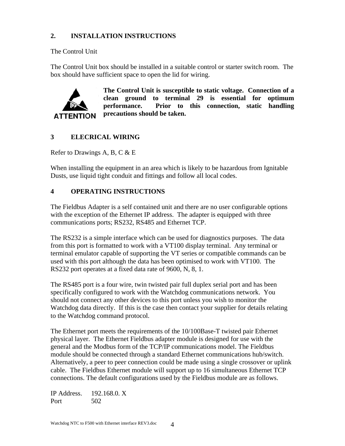#### **2. INSTALLATION INSTRUCTIONS**

The Control Unit

The Control Unit box should be installed in a suitable control or starter switch room. The box should have sufficient space to open the lid for wiring.



**The Control Unit is susceptible to static voltage. Connection of a clean ground to terminal 29 is essential for optimum performance. Prior to this connection, static handling precautions should be taken.** 

#### **3 ELECRICAL WIRING**

Refer to Drawings A, B, C & E

When installing the equipment in an area which is likely to be hazardous from Ignitable Dusts, use liquid tight conduit and fittings and follow all local codes.

#### **4 OPERATING INSTRUCTIONS**

The Fieldbus Adapter is a self contained unit and there are no user configurable options with the exception of the Ethernet IP address. The adapter is equipped with three communications ports; RS232, RS485 and Ethernet TCP.

The RS232 is a simple interface which can be used for diagnostics purposes. The data from this port is formatted to work with a VT100 display terminal. Any terminal or terminal emulator capable of supporting the VT series or compatible commands can be used with this port although the data has been optimised to work with VT100. The RS232 port operates at a fixed data rate of 9600, N, 8, 1.

The RS485 port is a four wire, twin twisted pair full duplex serial port and has been specifically configured to work with the Watchdog communications network. You should not connect any other devices to this port unless you wish to monitor the Watchdog data directly. If this is the case then contact your supplier for details relating to the Watchdog command protocol.

The Ethernet port meets the requirements of the 10/100Base-T twisted pair Ethernet physical layer. The Ethernet Fieldbus adapter module is designed for use with the general and the Modbus form of the TCP/IP communications model. The Fieldbus module should be connected through a standard Ethernet communications hub/switch. Alternatively, a peer to peer connection could be made using a single crossover or uplink cable. The Fieldbus Ethernet module will support up to 16 simultaneous Ethernet TCP connections. The default configurations used by the Fieldbus module are as follows.

IP Address. 192.168.0. X Port 502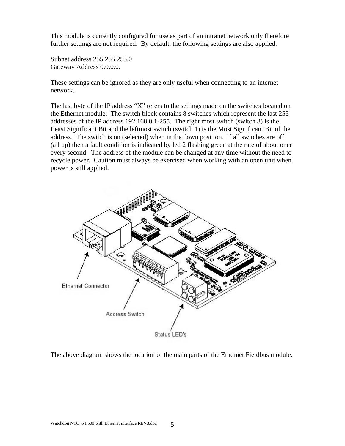This module is currently configured for use as part of an intranet network only therefore further settings are not required. By default, the following settings are also applied.

Subnet address 255.255.255.0 Gateway Address 0.0.0.0.

These settings can be ignored as they are only useful when connecting to an internet network.

The last byte of the IP address "X" refers to the settings made on the switches located on the Ethernet module. The switch block contains 8 switches which represent the last 255 addresses of the IP address 192.168.0.1-255. The right most switch (switch 8) is the Least Significant Bit and the leftmost switch (switch 1) is the Most Significant Bit of the address. The switch is on (selected) when in the down position. If all switches are off (all up) then a fault condition is indicated by led 2 flashing green at the rate of about once every second. The address of the module can be changed at any time without the need to recycle power. Caution must always be exercised when working with an open unit when power is still applied.



The above diagram shows the location of the main parts of the Ethernet Fieldbus module.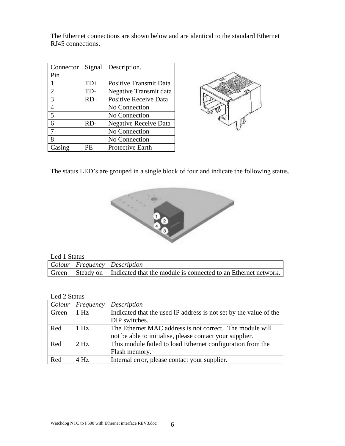The Ethernet connections are shown below and are identical to the standard Ethernet RJ45 connections.

| Connector | Signal | Description.                  |
|-----------|--------|-------------------------------|
| Pin       |        |                               |
|           | $TD+$  | <b>Positive Transmit Data</b> |
| 2         | TD-    | Negative Transmit data        |
| 3         | RD+    | <b>Positive Receive Data</b>  |
| 4         |        | No Connection                 |
| 5         |        | No Connection                 |
| 6         | RD-    | <b>Negative Receive Data</b>  |
|           |        | No Connection                 |
| 8         |        | No Connection                 |
| Casing    | PF     | Protective Earth              |



The status LED's are grouped in a single block of four and indicate the following status.



#### Led 1 Status

| Let I Duun |                                                                                    |  |  |
|------------|------------------------------------------------------------------------------------|--|--|
|            | Colour   Frequency   Description                                                   |  |  |
|            | Green   Steady on   Indicated that the module is connected to an Ethernet network. |  |  |

#### Led 2 Status

| Colour | Frequency | Description                                                       |
|--------|-----------|-------------------------------------------------------------------|
| Green  | 1 Hz      | Indicated that the used IP address is not set by the value of the |
|        |           | DIP switches.                                                     |
| Red    | $1$ Hz    | The Ethernet MAC address is not correct. The module will          |
|        |           | not be able to initialise, please contact your supplier.          |
| Red    | $2$ Hz    | This module failed to load Ethernet configuration from the        |
|        |           | Flash memory.                                                     |
| Red    | $4$ Hz    | Internal error, please contact your supplier.                     |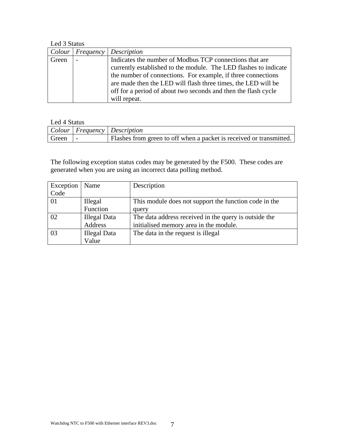Led 3 Status

|       |                          | Colour   Frequency   Description                                 |
|-------|--------------------------|------------------------------------------------------------------|
| Green | $\overline{\phantom{0}}$ | Indicates the number of Modbus TCP connections that are          |
|       |                          | currently established to the module. The LED flashes to indicate |
|       |                          | the number of connections. For example, if three connections     |
|       |                          | are made then the LED will flash three times, the LED will be    |
|       |                          | off for a period of about two seconds and then the flash cycle   |
|       |                          | will repeat.                                                     |

#### Led 4 Status

|         | Colour   Frequency   Description                                      |
|---------|-----------------------------------------------------------------------|
| Green - | I Flashes from green to off when a packet is received or transmitted. |

The following exception status codes may be generated by the F500. These codes are generated when you are using an incorrect data polling method.

| Exception | Name                | Description                                           |
|-----------|---------------------|-------------------------------------------------------|
| Code      |                     |                                                       |
| 01        | Illegal             | This module does not support the function code in the |
|           | Function            | query                                                 |
| 02        | <b>Illegal Data</b> | The data address received in the query is outside the |
|           | Address             | initialised memory area in the module.                |
| 03        | <b>Illegal Data</b> | The data in the request is illegal                    |
|           | Value               |                                                       |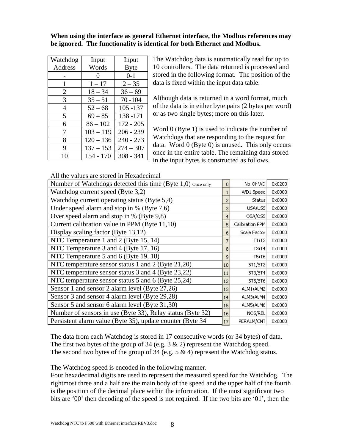#### **When using the interface as general Ethernet interface, the Modbus references may be ignored. The functionality is identical for both Ethernet and Modbus.**

| Watchdog       | Input       | Input       |
|----------------|-------------|-------------|
| Address        | Words       | <b>Byte</b> |
|                | 0           | $0 - 1$     |
| 1              | $1 - 17$    | $2 - 35$    |
| $\overline{2}$ | $18 - 34$   | $36 - 69$   |
| 3              | $35 - 51$   | $70 - 104$  |
| 4              | $52 - 68$   | $105 - 137$ |
| 5              | $69 - 85$   | 138-171     |
| 6              | $86 - 102$  | $172 - 205$ |
| 7              | $103 - 119$ | $206 - 239$ |
| 8              | $120 - 136$ | $240 - 273$ |
| 9              | $137 - 153$ | $274 - 307$ |
| 10             | $154 - 170$ | $308 - 341$ |

The Watchdog data is automatically read for up to 10 controllers. The data returned is processed and stored in the following format. The position of the data is fixed within the input data table.

Although data is returned in a word format, much of the data is in either byte pairs (2 bytes per word) or as two single bytes; more on this later.

Word 0 (Byte 1) is used to indicate the number of Watchdogs that are responding to the request for data. Word 0 (Byte 0) is unused. This only occurs once in the entire table. The remaining data stored in the input bytes is constructed as follows.

All the values are stored in Hexadecimal

| Number of Watchdogs detected this time (Byte 1,0) once only | $\Omega$ | No.Of WD        | 0x0200          |
|-------------------------------------------------------------|----------|-----------------|-----------------|
| Watchdog current speed (Byte 3,2)                           |          | WD1 Speed       | 0x0000          |
| Watchdog current operating status (Byte 5,4)                |          | <b>Status</b>   | $0 \times 0000$ |
| Under speed alarm and stop in % (Byte 7,6)                  | 3        | USA/USS         | 0x0000          |
| Over speed alarm and stop in % (Byte 9,8)                   | 4        | OSA/OSS         | $0 \times 0000$ |
| Current calibration value in PPM (Byte 11,10)               | 5        | Calibration PPM | 0x0000          |
| Display scaling factor (Byte 13,12)                         | 6        | Scale Factor    | 0x0000          |
| NTC Temperature 1 and 2 (Byte 15, 14)                       |          | T1/T2           | $0 \times 0000$ |
| NTC Temperature 3 and 4 (Byte 17, 16)                       | 8        | T3/T4           | 0x0000          |
| NTC Temperature 5 and 6 (Byte 19, 18)                       | 9        | T5/T6           | 0x0000          |
| NTC temperature sensor status 1 and 2 (Byte 21,20)          | 10       | ST1/ST2         | $0 \times 0000$ |
| NTC temperature sensor status 3 and 4 (Byte 23,22)          | 11       | ST3/ST4         | $0 \times 0000$ |
| NTC temperature sensor status 5 and 6 (Byte 25,24)          | 12       | ST5/ST6         | 0x0000          |
| Sensor 1 and sensor 2 alarm level (Byte 27,26)              | 13       | ALM1/ALM2       | $0 \times 0000$ |
| Sensor 3 and sensor 4 alarm level (Byte 29,28)              | 14       | ALM3/ALM4       | 0x0000          |
| Sensor 5 and sensor 6 alarm level (Byte 31,30)              | 15       | ALM5/ALM6       | 0x0000          |
| Number of sensors in use (Byte 33), Relay status (Byte 32)  | 16       | NOS/REL         | 0x0000          |
| Persistent alarm value (Byte 35), update counter (Byte 34)  | 17       | PERALM/CNT      | $0 \times 0000$ |
|                                                             |          |                 |                 |

The data from each Watchdog is stored in 17 consecutive words (or 34 bytes) of data. The first two bytes of the group of 34 (e.g.  $3 \& 2$ ) represent the Watchdog speed. The second two bytes of the group of 34 (e.g.  $5 \& 4$ ) represent the Watchdog status.

The Watchdog speed is encoded in the following manner.

Four hexadecimal digits are used to represent the measured speed for the Watchdog. The rightmost three and a half are the main body of the speed and the upper half of the fourth is the position of the decimal place within the information. If the most significant two bits are '00' then decoding of the speed is not required. If the two bits are '01', then the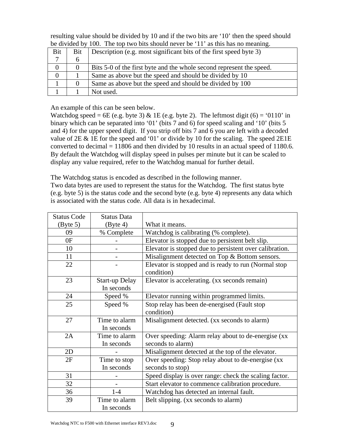resulting value should be divided by 10 and if the two bits are '10' then the speed should be divided by 100. The top two bits should never be '11' as this has no meaning.

| Bit | Bit      | Description (e.g. most significant bits of the first speed byte 3)   |
|-----|----------|----------------------------------------------------------------------|
|     | O        |                                                                      |
|     | $\theta$ | Bits 5-0 of the first byte and the whole second represent the speed. |
|     |          | Same as above but the speed and should be divided by 10              |
|     |          | Same as above but the speed and should be divided by 100             |
|     |          | Not used.                                                            |

An example of this can be seen below.

Watchdog speed = 6E (e.g. byte 3) & 1E (e.g. byte 2). The leftmost digit (6) = '0110' in binary which can be separated into '01' (bits 7 and 6) for speed scaling and '10' (bits 5 and 4) for the upper speed digit. If you strip off bits 7 and 6 you are left with a decoded value of 2E & 1E for the speed and '01' or divide by 10 for the scaling. The speed 2E1E converted to decimal  $= 11806$  and then divided by 10 results in an actual speed of 1180.6. By default the Watchdog will display speed in pulses per minute but it can be scaled to display any value required, refer to the Watchdog manual for further detail.

The Watchdog status is encoded as described in the following manner. Two data bytes are used to represent the status for the Watchdog. The first status byte (e.g. byte 5) is the status code and the second byte (e.g. byte 4) represents any data which is associated with the status code. All data is in hexadecimal.

| <b>Status Code</b>            | <b>Status Data</b>                  |                                                                          |
|-------------------------------|-------------------------------------|--------------------------------------------------------------------------|
| $\left(\text{Byte } 5\right)$ | $(B$ yte 4)                         | What it means.                                                           |
| 09                            | % Complete                          | Watchdog is calibrating (% complete).                                    |
| 0F                            |                                     | Elevator is stopped due to persistent belt slip.                         |
| 10                            |                                     | Elevator is stopped due to persistent over calibration.                  |
| 11                            |                                     | Misalignment detected on Top & Bottom sensors.                           |
| 22                            |                                     | Elevator is stopped and is ready to run (Normal stop<br>condition)       |
| 23                            | <b>Start-up Delay</b><br>In seconds | Elevator is accelerating. (xx seconds remain)                            |
| 24                            | Speed %                             | Elevator running within programmed limits.                               |
| 25                            | Speed %                             | Stop relay has been de-energised (Fault stop<br>condition)               |
| 27                            | Time to alarm<br>In seconds         | Misalignment detected. (xx seconds to alarm)                             |
| 2A                            | Time to alarm<br>In seconds         | Over speeding: Alarm relay about to de-energise (xx<br>seconds to alarm) |
| 2D                            |                                     | Misalignment detected at the top of the elevator.                        |
| 2F                            | Time to stop                        | Over speeding: Stop relay about to de-energise (xx                       |
|                               | In seconds                          | seconds to stop)                                                         |
| 31                            |                                     | Speed display is over range: check the scaling factor.                   |
| 32                            |                                     | Start elevator to commence calibration procedure.                        |
| 36                            | $1-4$                               | Watchdog has detected an internal fault.                                 |
| 39                            | Time to alarm                       | Belt slipping. (xx seconds to alarm)                                     |
|                               | In seconds                          |                                                                          |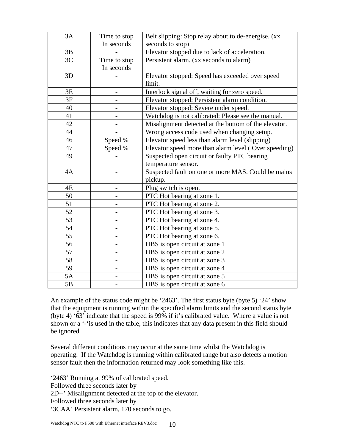| 3A | Time to stop | Belt slipping: Stop relay about to de-energise. (xx  |
|----|--------------|------------------------------------------------------|
|    | In seconds   | seconds to stop)                                     |
| 3B |              | Elevator stopped due to lack of acceleration.        |
| 3C | Time to stop | Persistent alarm. (xx seconds to alarm)              |
|    | In seconds   |                                                      |
| 3D |              | Elevator stopped: Speed has exceeded over speed      |
|    |              | limit.                                               |
| 3E |              | Interlock signal off, waiting for zero speed.        |
| 3F |              | Elevator stopped: Persistent alarm condition.        |
| 40 |              | Elevator stopped: Severe under speed.                |
| 41 |              | Watchdog is not calibrated: Please see the manual.   |
| 42 |              | Misalignment detected at the bottom of the elevator. |
| 44 |              | Wrong access code used when changing setup.          |
| 46 | Speed %      | Elevator speed less than alarm level (slipping)      |
| 47 | Speed %      | Elevator speed more than alarm level (Over speeding) |
| 49 |              | Suspected open circuit or faulty PTC bearing         |
|    |              | temperature sensor.                                  |
| 4A |              | Suspected fault on one or more MAS. Could be mains   |
|    |              | pickup.                                              |
| 4E |              | Plug switch is open.                                 |
| 50 |              | PTC Hot bearing at zone 1.                           |
| 51 |              | PTC Hot bearing at zone 2.                           |
| 52 |              | PTC Hot bearing at zone 3.                           |
| 53 |              | PTC Hot bearing at zone 4.                           |
| 54 |              | PTC Hot bearing at zone 5.                           |
| 55 |              | PTC Hot bearing at zone 6.                           |
| 56 |              | HBS is open circuit at zone 1                        |
| 57 |              | HBS is open circuit at zone 2                        |
| 58 |              | HBS is open circuit at zone 3                        |
| 59 |              | HBS is open circuit at zone 4                        |
| 5A |              | HBS is open circuit at zone 5                        |
| 5B |              | HBS is open circuit at zone 6                        |

An example of the status code might be '2463'. The first status byte (byte 5) '24' show that the equipment is running within the specified alarm limits and the second status byte (byte 4) '63' indicate that the speed is 99% if it's calibrated value. Where a value is not shown or a '-'is used in the table, this indicates that any data present in this field should be ignored.

Several different conditions may occur at the same time whilst the Watchdog is operating. If the Watchdog is running within calibrated range but also detects a motion sensor fault then the information returned may look something like this.

'2463' Running at 99% of calibrated speed. Followed three seconds later by 2D--' Misalignment detected at the top of the elevator. Followed three seconds later by '3CAA' Persistent alarm, 170 seconds to go.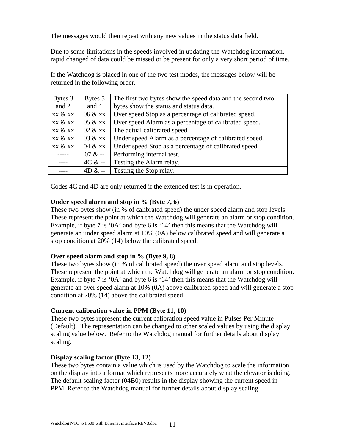The messages would then repeat with any new values in the status data field.

Due to some limitations in the speeds involved in updating the Watchdog information, rapid changed of data could be missed or be present for only a very short period of time.

If the Watchdog is placed in one of the two test modes, the messages below will be returned in the following order.

| Bytes 3 | Bytes 5  | The first two bytes show the speed data and the second two |  |
|---------|----------|------------------------------------------------------------|--|
| and 2   | and 4    | bytes show the status and status data.                     |  |
| xx & xx | 06 & xx  | Over speed Stop as a percentage of calibrated speed.       |  |
| xx & xx | 05 & xx  | Over speed Alarm as a percentage of calibrated speed.      |  |
| xx & xx | 02 & xx  | The actual calibrated speed                                |  |
| xx & xx | 03 & xx  | Under speed Alarm as a percentage of calibrated speed.     |  |
| xx & xx | 04 & xx  | Under speed Stop as a percentage of calibrated speed.      |  |
|         | $07 & -$ | Performing internal test.                                  |  |
|         | $4C & -$ | Testing the Alarm relay.                                   |  |
|         | $4D & -$ | Testing the Stop relay.                                    |  |

Codes 4C and 4D are only returned if the extended test is in operation.

#### **Under speed alarm and stop in % (Byte 7, 6)**

These two bytes show (in % of calibrated speed) the under speed alarm and stop levels. These represent the point at which the Watchdog will generate an alarm or stop condition. Example, if byte 7 is '0A' and byte 6 is '14' then this means that the Watchdog will generate an under speed alarm at 10% (0A) below calibrated speed and will generate a stop condition at 20% (14) below the calibrated speed.

#### **Over speed alarm and stop in % (Byte 9, 8)**

These two bytes show (in % of calibrated speed) the over speed alarm and stop levels. These represent the point at which the Watchdog will generate an alarm or stop condition. Example, if byte 7 is '0A' and byte 6 is '14' then this means that the Watchdog will generate an over speed alarm at 10% (0A) above calibrated speed and will generate a stop condition at 20% (14) above the calibrated speed.

#### **Current calibration value in PPM (Byte 11, 10)**

These two bytes represent the current calibration speed value in Pulses Per Minute (Default). The representation can be changed to other scaled values by using the display scaling value below. Refer to the Watchdog manual for further details about display scaling.

#### **Display scaling factor (Byte 13, 12)**

These two bytes contain a value which is used by the Watchdog to scale the information on the display into a format which represents more accurately what the elevator is doing. The default scaling factor (04B0) results in the display showing the current speed in PPM. Refer to the Watchdog manual for further details about display scaling.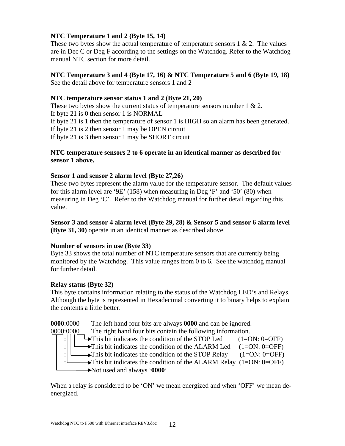#### **NTC Temperature 1 and 2 (Byte 15, 14)**

These two bytes show the actual temperature of temperature sensors  $1 \& 2$ . The values are in Dec C or Deg F according to the settings on the Watchdog. Refer to the Watchdog manual NTC section for more detail.

#### **NTC Temperature 3 and 4 (Byte 17, 16) & NTC Temperature 5 and 6 (Byte 19, 18)**

See the detail above for temperature sensors 1 and 2

#### **NTC temperature sensor status 1 and 2 (Byte 21, 20)**

These two bytes show the current status of temperature sensors number  $1 \& 2$ . If byte 21 is 0 then sensor 1 is NORMAL If byte 21 is 1 then the temperature of sensor 1 is HIGH so an alarm has been generated. If byte 21 is 2 then sensor 1 may be OPEN circuit If byte 21 is 3 then sensor 1 may be SHORT circuit

#### **NTC temperature sensors 2 to 6 operate in an identical manner as described for sensor 1 above.**

#### **Sensor 1 and sensor 2 alarm level (Byte 27,26)**

These two bytes represent the alarm value for the temperature sensor. The default values for this alarm level are '9E' (158) when measuring in Deg 'F' and '50' (80) when measuring in Deg 'C'. Refer to the Watchdog manual for further detail regarding this value.

**Sensor 3 and sensor 4 alarm level (Byte 29, 28) & Sensor 5 and sensor 6 alarm level (Byte 31, 30)** operate in an identical manner as described above.

#### **Number of sensors in use (Byte 33)**

Byte 33 shows the total number of NTC temperature sensors that are currently being monitored by the Watchdog. This value ranges from 0 to 6. See the watchdog manual for further detail.

#### **Relay status (Byte 32)**

This byte contains information relating to the status of the Watchdog LED's and Relays. Although the byte is represented in Hexadecimal converting it to binary helps to explain the contents a little better.

**0000**:0000 The left hand four bits are always **0000** and can be ignored.

0000:0000 The right hand four bits contain the following information.

 $\rightarrow$  This bit indicates the condition of the STOP Led (1=ON: 0=OFF)

: $\left| \begin{array}{cc} \downarrow \end{array} \right|$   $\rightarrow$  This bit indicates the condition of the ALARM Led (1=ON: 0=OFF)

- :  $\Box$  This bit indicates the condition of the STOP Relay (1=ON: 0=OFF)
	- $\rightarrow$ This bit indicates the condition of the ALARM Relay (1=ON: 0=OFF)

Not used and always '**0000**'

When a relay is considered to be 'ON' we mean energized and when 'OFF' we mean deenergized.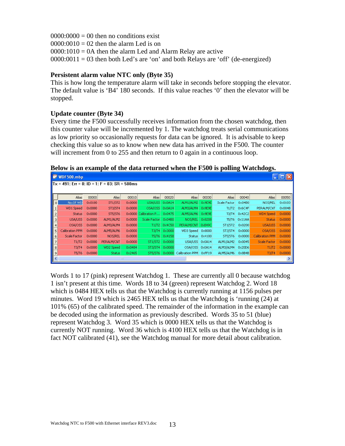$0000:0000 = 00$  then no conditions exist  $0000:0010 = 02$  then the alarm Led is on  $0000:1010 = 0A$  then the alarm Led and Alarm Relay are active  $0000:0011 = 03$  then both Led's are 'on' and both Relays are 'off' (de-energized)

#### **Persistent alarm value NTC only (Byte 35)**

This is how long the temperature alarm will take in seconds before stopping the elevator. The default value is 'B4' 180 seconds. If this value reaches '0' then the elevator will be stopped.

#### **Update counter (Byte 34)**

Every time the F500 successfully receives information from the chosen watchdog, then this counter value will be incremented by 1. The watchdog treats serial communications as low priority so occasionally requests for data can be ignored. It is advisable to keep checking this value so as to know when new data has arrived in the F500. The counter will increment from 0 to 255 and then return to 0 again in a continuous loop.

**Below is an example of the data returned when the F500 is polling Watchdogs.** 

|                | ີ<br>ີ<br>WDF500.mbp                               |                 |                |                 |                      |                 |                        |               |                |                 |                     |                 |
|----------------|----------------------------------------------------|-----------------|----------------|-----------------|----------------------|-----------------|------------------------|---------------|----------------|-----------------|---------------------|-----------------|
|                | $\P$ Tx = 491: Err = 0: ID = 1: F = 03: SR = 500ms |                 |                |                 |                      |                 |                        |               |                |                 |                     |                 |
|                |                                                    |                 |                |                 |                      |                 |                        |               |                |                 |                     |                 |
|                | Alias                                              | 00000           | Alias          | 00010           | Alias                | 00020           | Alias                  | 00030         | Alias          | 00040           | Alias               | 00050           |
| $\overline{0}$ | No.Of WD                                           | 0x0100          | <b>ST1/ST2</b> | 0x0000          | USA/USS              | 0x0A14          | ALM1/ALM2              | 0x9E9E        | Scale Factor   | 0x04B0          | NOS/REL             | $0\times0103$   |
|                | WD1 Speed                                          | 0x0000          | ST3/ST4        | $0 \times 0000$ | OSA/OSS              | 0x0A14          | ALM3/ALM4              | 0x9E9E        |                | T1/T2 0x6C4F    | PERALM/CNT          | $0 \times 004B$ |
|                | <b>Status</b>                                      | $0 \times 0000$ | <b>ST5/ST6</b> |                 | 0x0000 Calibration P | 0x0475          | ALM5/ALM6              | 0x9E9E        |                | T3/T4 0x42C2    | <b>WD4 Speed</b>    | 0x0000          |
| 3              | USA/USS                                            | $0 \times 0000$ | ALM1/ALM2      | $0 \times 0000$ | Scale Factor         | 0x04B0          | NOS/REL 0x0208         |               |                | T5/T6 0x11AA    | <b>Status</b>       | $0 \times 0000$ |
|                | OSA/OSS                                            | $0 \times 0000$ | ALM3/ALM4      | $0 \times 0000$ | T1/T2                | 0x4C50          | PERALM/CNT 0xB49C      |               | <b>ST1/ST2</b> | $0 \times 0200$ | USA/USS             | 0x0000          |
| 5              | Calibration PPM                                    | 0x0000          | ALM5/ALM6      | 0x0000          | T3/T4                | 0x3000          | WD3 Speed 0x0000       |               | ST3/ST4        | $0 \times 0000$ | OSA/OSS             | 0x0000          |
| 6              | Scale Factor                                       | $0 \times 0000$ | NOS/REL        | $0 \times 0000$ | T5/T6                | 0x4158          |                        | Status 0x4100 | ST5/ST6        | 0x0000          | Calibration PPM     | 0x0000          |
|                | T1/T2                                              | $0 \times 0000$ | PERALM/CNT     | $0 \times 0000$ | ST1/ST2              | $0 \times 0000$ | USA/USS 0x0A14         |               | ALM1/ALM2      | $0 \times 0045$ | <b>Scale Factor</b> | 0x0000          |
| 8              | T3/T4                                              | $0 \times 0000$ | WD2 Speed      | 0x0484          | ST3/ST4              | 0x0000          | OSA/OSS 0x0A14         |               | ALM3/ALM4      | 0x20D6          | T1/T2               | $0 \times 0000$ |
| 9              | <b>T5/T6</b>                                       | $0 \times 0000$ | <b>Status</b>  | 0x2465          | <b>ST5/ST6</b>       | $0 \times 0000$ | Calibration PPM 0xFF19 |               | ALM5/ALM6      | $0 \times 8B4B$ | T3/T4               | 0x0000          |
|                | Ш                                                  |                 |                |                 |                      |                 |                        |               |                |                 |                     |                 |

Words 1 to 17 (pink) represent Watchdog 1. These are currently all 0 because watchdog 1 isn't present at this time. Words 18 to 34 (green) represent Watchdog 2. Word 18 which is 0484 HEX tells us that the Watchdog is currently running at 1156 pulses per minutes. Word 19 which is 2465 HEX tells us that the Watchdog is 'running (24) at 101% (65) of the calibrated speed. The remainder of the information in the example can be decoded using the information as previously described. Words 35 to 51 (blue) represent Watchdog 3. Word 35 which is 0000 HEX tells us that the Watchdog is currently NOT running. Word 36 which is 4100 HEX tells us that the Watchdog is in fact NOT calibrated (41), see the Watchdog manual for more detail about calibration.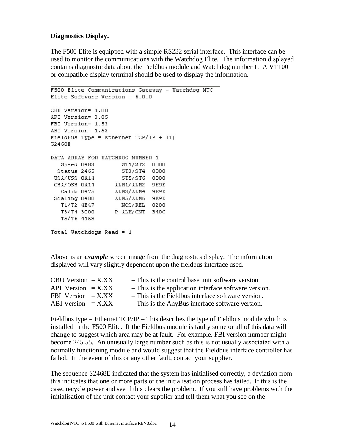#### **Diagnostics Display.**

The F500 Elite is equipped with a simple RS232 serial interface. This interface can be used to monitor the communications with the Watchdog Elite. The information displayed contains diagnostic data about the Fieldbus module and Watchdog number 1. A VT100 or compatible display terminal should be used to display the information.

```
F500 Elite Communications Gateway - Watchdog NTC
Elite Software Version - 6.0.0
CBU Version= 1.00
API Version= 3.05
FBI Version= 1.53
ABI Version= 1.53
FieldBus Type = Ethernet TCP/IP + IT)
S2468E
DATA ARRAY FOR WATCHDOG NUMBER 1
    Speed 0483 ST1/ST2 0000
                         ST3/ST4 0000<br>ST5/ST6 0000
  Status 2465
 USA/USS 0A14 5T5/ST6 0000<br>
OSA/OSS 0A14 ALM1/ALM2 9E9E<br>
Calib 0475 ALM3/ALM4 9E9E<br>
Scaling 04B0 ALM5/ALM6 9E9E<br>
T1/T2 4E47 NOS/REL 0208<br>
T3/T4 3000 P-ALM/CNT B40C
 USA/USS OA14
    T5/T6 4158
Total Watchdogs Read = 1
```
Above is an *example* screen image from the diagnostics display. The information displayed will vary slightly dependent upon the fieldbus interface used.

| $CBU Version = X.XX$ | - This is the control base unit software version.     |
|----------------------|-------------------------------------------------------|
| API Version $=$ X.XX | - This is the application interface software version. |
| FBI Version $=$ X.XX | - This is the Fieldbus interface software version.    |
| ABI Version $=$ X.XX | - This is the AnyBus interface software version.      |

Fieldbus type  $=$  Ethernet TCP/IP – This describes the type of Fieldbus module which is installed in the F500 Elite. If the Fieldbus module is faulty some or all of this data will change to suggest which area may be at fault. For example, FBI version number might become 245.55. An unusually large number such as this is not usually associated with a normally functioning module and would suggest that the Fieldbus interface controller has failed. In the event of this or any other fault, contact your supplier.

The sequence S2468E indicated that the system has initialised correctly, a deviation from this indicates that one or more parts of the initialisation process has failed. If this is the case, recycle power and see if this clears the problem. If you still have problems with the initialisation of the unit contact your supplier and tell them what you see on the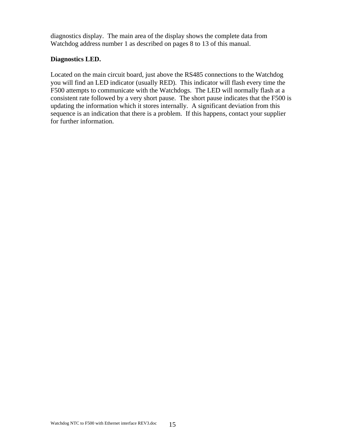diagnostics display. The main area of the display shows the complete data from Watchdog address number 1 as described on pages 8 to 13 of this manual.

#### **Diagnostics LED.**

Located on the main circuit board, just above the RS485 connections to the Watchdog you will find an LED indicator (usually RED). This indicator will flash every time the F500 attempts to communicate with the Watchdogs. The LED will normally flash at a consistent rate followed by a very short pause. The short pause indicates that the F500 is updating the information which it stores internally. A significant deviation from this sequence is an indication that there is a problem. If this happens, contact your supplier for further information.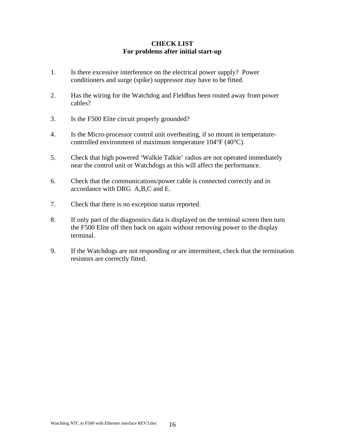#### **CHECK LIST For problems after initial start-up**

- 1. Is there excessive interference on the electrical power supply? Power conditioners and surge (spike) suppressor may have to be fitted.
- 2. Has the wiring for the Watchdog and Fieldbus been routed away from power cables?
- 3. Is the F500 Elite circuit properly grounded?
- 4. Is the Micro-processor control unit overheating, if so mount in temperaturecontrolled environment of maximum temperature 104°F (40°C).
- 5. Check that high powered 'Walkie Talkie' radios are not operated immediately near the control unit or Watchdogs as this will affect the performance.
- 6. Check that the communications/power cable is connected correctly and in accordance with DRG A,B,C and E.
- 7. Check that there is no exception status reported.
- 8. If only part of the diagnostics data is displayed on the terminal screen then turn the F500 Elite off then back on again without removing power to the display terminal.
- 9. If the Watchdogs are not responding or are intermittent, check that the termination resistors are correctly fitted.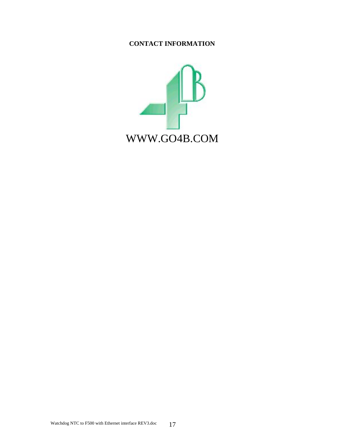#### **CONTACT INFORMATION**

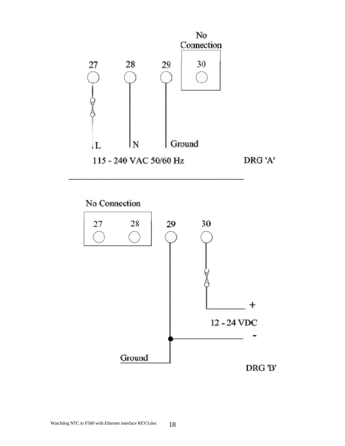

No Connection

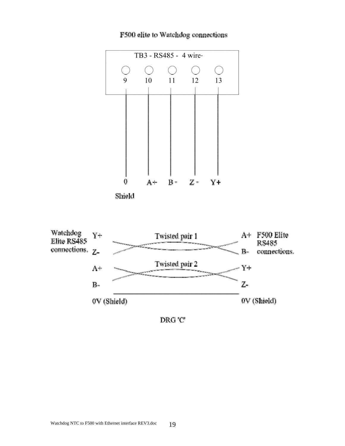

F500 elite to Watchdog connections





DRG'C'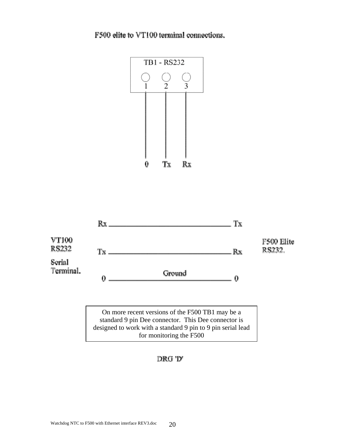F500 elite to VT100 terminal connections.





On more recent versions of the F500 TB1 may be a standard 9 pin Dee connector. This Dee connector is designed to work with a standard 9 pin to 9 pin serial lead for monitoring the F500

DRG 'D'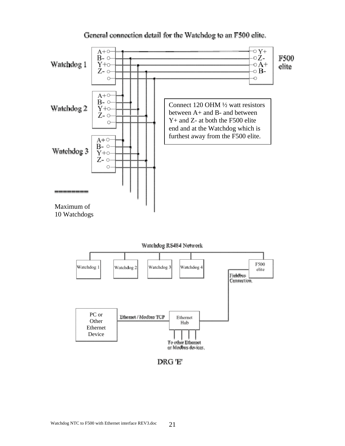

#### General connection detail for the Watchdog to an F500 elite.

Watchdog RS484 Network



DRG 'E'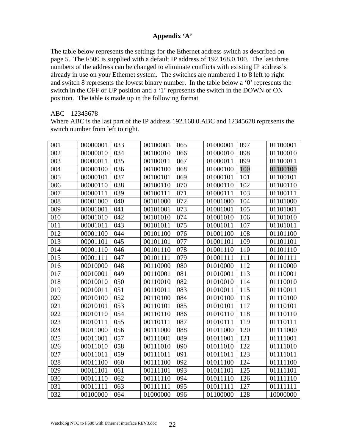#### **Appendix 'A'**

The table below represents the settings for the Ethernet address switch as described on page 5. The F500 is supplied with a default IP address of 192.168.0.100. The last three numbers of the address can be changed to eliminate conflicts with existing IP address's already in use on your Ethernet system. The switches are numbered 1 to 8 left to right and switch 8 represents the lowest binary number. In the table below a '0' represents the switch in the OFF or UP position and a '1' represents the switch in the DOWN or ON position. The table is made up in the following format

#### ABC 12345678

Where ABC is the last part of the IP address 192.168.0.ABC and 12345678 represents the switch number from left to right.

| 001 | 00000001 | 033 | 00100001 | 065 | 01000001 | 097 | 01100001 |
|-----|----------|-----|----------|-----|----------|-----|----------|
| 002 | 00000010 | 034 | 00100010 | 066 | 01000010 | 098 | 01100010 |
| 003 | 00000011 | 035 | 00100011 | 067 | 01000011 | 099 | 01100011 |
| 004 | 00000100 | 036 | 00100100 | 068 | 01000100 | 100 | 01100100 |
| 005 | 00000101 | 037 | 00100101 | 069 | 01000101 | 101 | 01100101 |
| 006 | 00000110 | 038 | 00100110 | 070 | 01000110 | 102 | 01100110 |
| 007 | 00000111 | 039 | 00100111 | 071 | 01000111 | 103 | 01100111 |
| 008 | 00001000 | 040 | 00101000 | 072 | 01001000 | 104 | 01101000 |
| 009 | 00001001 | 041 | 00101001 | 073 | 01001001 | 105 | 01101001 |
| 010 | 00001010 | 042 | 00101010 | 074 | 01001010 | 106 | 01101010 |
| 011 | 00001011 | 043 | 00101011 | 075 | 01001011 | 107 | 01101011 |
| 012 | 00001100 | 044 | 00101100 | 076 | 01001100 | 108 | 01101100 |
| 013 | 00001101 | 045 | 00101101 | 077 | 01001101 | 109 | 01101101 |
| 014 | 00001110 | 046 | 00101110 | 078 | 01001110 | 110 | 01101110 |
| 015 | 00001111 | 047 | 00101111 | 079 | 01001111 | 111 | 01101111 |
| 016 | 00010000 | 048 | 00110000 | 080 | 01010000 | 112 | 01110000 |
| 017 | 00010001 | 049 | 00110001 | 081 | 01010001 | 113 | 01110001 |
| 018 | 00010010 | 050 | 00110010 | 082 | 01010010 | 114 | 01110010 |
| 019 | 00010011 | 051 | 00110011 | 083 | 01010011 | 115 | 01110011 |
| 020 | 00010100 | 052 | 00110100 | 084 | 01010100 | 116 | 01110100 |
| 021 | 00010101 | 053 | 00110101 | 085 | 01010101 | 117 | 01110101 |
| 022 | 00010110 | 054 | 00110110 | 086 | 01010110 | 118 | 01110110 |
| 023 | 00010111 | 055 | 00110111 | 087 | 01010111 | 119 | 01110111 |
| 024 | 00011000 | 056 | 00111000 | 088 | 01011000 | 120 | 01111000 |
| 025 | 00011001 | 057 | 00111001 | 089 | 01011001 | 121 | 01111001 |
| 026 | 00011010 | 058 | 00111010 | 090 | 01011010 | 122 | 01111010 |
| 027 | 00011011 | 059 | 00111011 | 091 | 01011011 | 123 | 01111011 |
| 028 | 00011100 | 060 | 00111100 | 092 | 01011100 | 124 | 01111100 |
| 029 | 00011101 | 061 | 00111101 | 093 | 01011101 | 125 | 01111101 |
| 030 | 00011110 | 062 | 00111110 | 094 | 01011110 | 126 | 01111110 |
| 031 | 00011111 | 063 | 00111111 | 095 | 01011111 | 127 | 01111111 |
| 032 | 00100000 | 064 | 01000000 | 096 | 01100000 | 128 | 10000000 |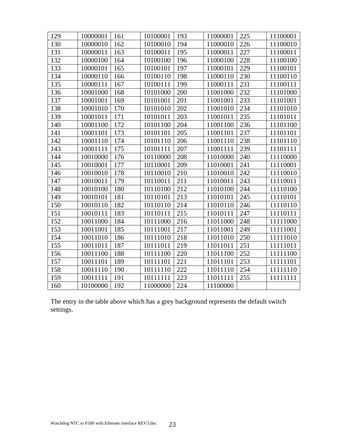| 129 | 10000001 | 161 | 10100001 | 193 | 11000001 | 225 | 11100001 |
|-----|----------|-----|----------|-----|----------|-----|----------|
| 130 | 10000010 | 162 | 10100010 | 194 | 11000010 | 226 | 11100010 |
| 131 | 10000011 | 163 | 10100011 | 195 | 11000011 | 227 | 11100011 |
| 132 | 10000100 | 164 | 10100100 | 196 | 11000100 | 228 | 11100100 |
| 133 | 10000101 | 165 | 10100101 | 197 | 11000101 | 229 | 11100101 |
| 134 | 10000110 | 166 | 10100110 | 198 | 11000110 | 230 | 11100110 |
| 135 | 10000111 | 167 | 10100111 | 199 | 11000111 | 231 | 11100111 |
| 136 | 10001000 | 168 | 10101000 | 200 | 11001000 | 232 | 11101000 |
| 137 | 10001001 | 169 | 10101001 | 201 | 11001001 | 233 | 11101001 |
| 138 | 10001010 | 170 | 10101010 | 202 | 11001010 | 234 | 11101010 |
| 139 | 10001011 | 171 | 10101011 | 203 | 11001011 | 235 | 11101011 |
| 140 | 10001100 | 172 | 10101100 | 204 | 11001100 | 236 | 11101100 |
| 141 | 10001101 | 173 | 10101101 | 205 | 11001101 | 237 | 11101101 |
| 142 | 10001110 | 174 | 10101110 | 206 | 11001110 | 238 | 11101110 |
| 143 | 10001111 | 175 | 10101111 | 207 | 11001111 | 239 | 11101111 |
| 144 | 10010000 | 176 | 10110000 | 208 | 11010000 | 240 | 11110000 |
| 145 | 10010001 | 177 | 10110001 | 209 | 11010001 | 241 | 11110001 |
| 146 | 10010010 | 178 | 10110010 | 210 | 11010010 | 242 | 11110010 |
| 147 | 10010011 | 179 | 10110011 | 211 | 11010011 | 243 | 11110011 |
| 148 | 10010100 | 180 | 10110100 | 212 | 11010100 | 244 | 11110100 |
| 149 | 10010101 | 181 | 10110101 | 213 | 11010101 | 245 | 11110101 |
| 150 | 10010110 | 182 | 10110110 | 214 | 11010110 | 246 | 11110110 |
| 151 | 10010111 | 183 | 10110111 | 215 | 11010111 | 247 | 11110111 |
| 152 | 10011000 | 184 | 10111000 | 216 | 11011000 | 248 | 11111000 |
| 153 | 10011001 | 185 | 10111001 | 217 | 11011001 | 249 | 11111001 |
| 154 | 10011010 | 186 | 10111010 | 218 | 11011010 | 250 | 11111010 |
| 155 | 10011011 | 187 | 10111011 | 219 | 11011011 | 251 | 11111011 |
| 156 | 10011100 | 188 | 10111100 | 220 | 11011100 | 252 | 11111100 |
| 157 | 10011101 | 189 | 10111101 | 221 | 11011101 | 253 | 11111101 |
| 158 | 10011110 | 190 | 10111110 | 222 | 11011110 | 254 | 11111110 |
| 159 | 10011111 | 191 | 10111111 | 223 | 11011111 | 255 | 11111111 |
| 160 | 10100000 | 192 | 11000000 | 224 | 11100000 |     |          |
|     |          |     |          |     |          |     |          |

The entry in the table above which has a grey background represents the default switch settings.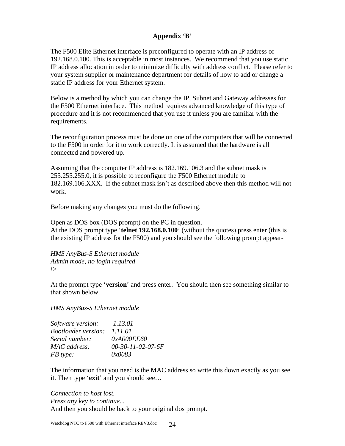#### **Appendix 'B'**

The F500 Elite Ethernet interface is preconfigured to operate with an IP address of 192.168.0.100. This is acceptable in most instances. We recommend that you use static IP address allocation in order to minimize difficulty with address conflict. Please refer to your system supplier or maintenance department for details of how to add or change a static IP address for your Ethernet system.

Below is a method by which you can change the IP, Subnet and Gateway addresses for the F500 Ethernet interface. This method requires advanced knowledge of this type of procedure and it is not recommended that you use it unless you are familiar with the requirements.

The reconfiguration process must be done on one of the computers that will be connected to the F500 in order for it to work correctly. It is assumed that the hardware is all connected and powered up.

Assuming that the computer IP address is 182.169.106.3 and the subnet mask is 255.255.255.0, it is possible to reconfigure the F500 Ethernet module to 182.169.106.XXX. If the subnet mask isn't as described above then this method will not work.

Before making any changes you must do the following.

Open as DOS box (DOS prompt) on the PC in question. At the DOS prompt type '**telnet 192.168.0.100**' (without the quotes) press enter (this is the existing IP address for the F500) and you should see the following prompt appear-

*HMS AnyBus-S Ethernet module Admin mode, no login required \>* 

At the prompt type '**version**' and press enter. You should then see something similar to that shown below.

*HMS AnyBus-S Ethernet module* 

| Software version:          | 1.13.01             |
|----------------------------|---------------------|
| <b>Bootloader</b> version: | 1.11.01             |
| Serial number:             | 0xA000EE60          |
| MAC address:               | $00-30-11-02-07-6F$ |
| FB type:                   | <i>0x0083</i>       |

The information that you need is the MAC address so write this down exactly as you see it. Then type '**exit**' and you should see…

*Connection to host lost. Press any key to continue...*  And then you should be back to your original dos prompt.